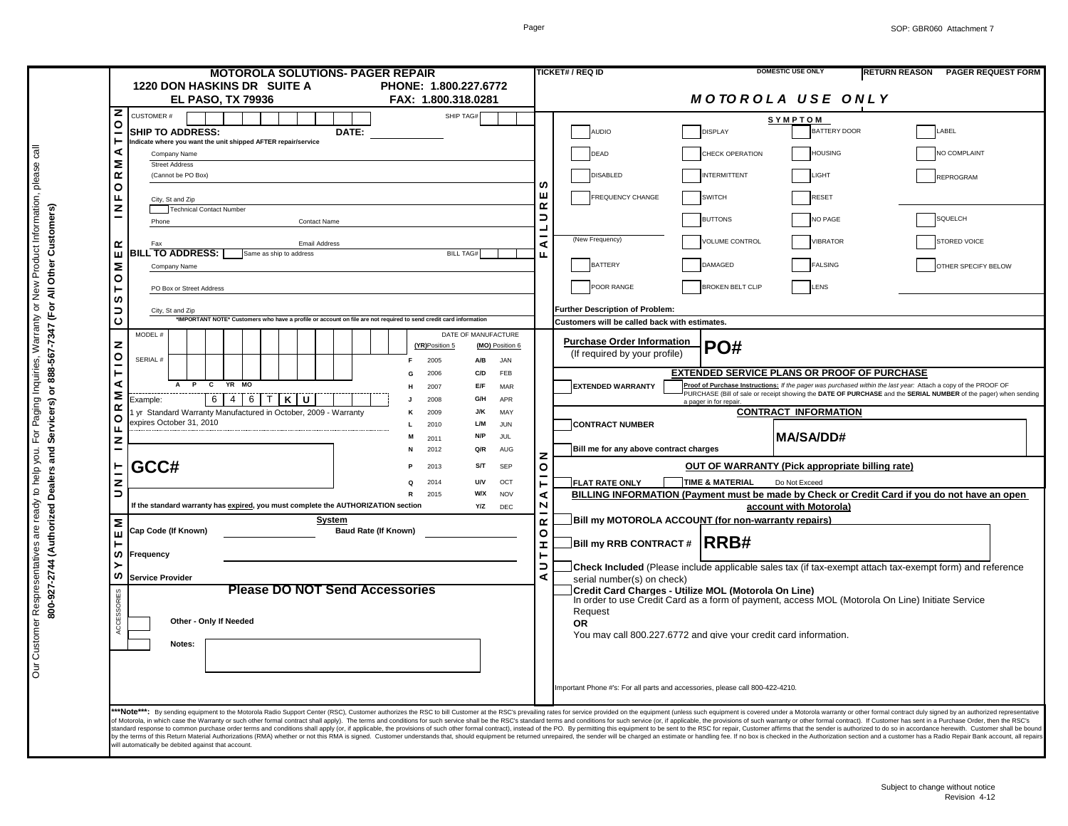|              | <b>MOTOROLA SOLUTIONS- PAGER REPAIR</b>                                                                                                                                                                             |                               | <b>DOMESTIC USE ONLY</b><br><b>TICKET# / REQ ID</b><br><b>RETURN REASON</b><br><b>PAGER REQUEST FORM</b>                                                                                                                                                                                                                                                                                                                                                         |
|--------------|---------------------------------------------------------------------------------------------------------------------------------------------------------------------------------------------------------------------|-------------------------------|------------------------------------------------------------------------------------------------------------------------------------------------------------------------------------------------------------------------------------------------------------------------------------------------------------------------------------------------------------------------------------------------------------------------------------------------------------------|
|              | 1220 DON HASKINS DR SUITE A<br>PHONE: 1.800.227.6772                                                                                                                                                                |                               |                                                                                                                                                                                                                                                                                                                                                                                                                                                                  |
| z            | <b>EL PASO, TX 79936</b><br>FAX: 1.800.318.0281                                                                                                                                                                     |                               | <b>MOTOROLA USE ONLY</b>                                                                                                                                                                                                                                                                                                                                                                                                                                         |
| O            | SHIP TAG#<br><b>CUSTOMER#</b>                                                                                                                                                                                       |                               | SYMPTOM                                                                                                                                                                                                                                                                                                                                                                                                                                                          |
|              | <b>SHIP TO ADDRESS:</b><br>DATE:<br>Indicate where you want the unit shipped AFTER repair/service                                                                                                                   |                               | <b>BATTERY DOOR</b><br><b>AUDIO</b><br><b>DISPLAY</b><br>LABEL                                                                                                                                                                                                                                                                                                                                                                                                   |
|              | ⋖<br>Company Name                                                                                                                                                                                                   |                               | <b>HOUSING</b><br>CHECK OPERATION<br>NO COMPLAINT<br>DEAD                                                                                                                                                                                                                                                                                                                                                                                                        |
| Σ<br>œ       | <b>Street Address</b><br>(Cannot be PO Box)                                                                                                                                                                         |                               | <b>DISABLED</b><br><b>INTERMITTENT</b><br>LIGHT<br>REPROGRAM                                                                                                                                                                                                                                                                                                                                                                                                     |
|              | O                                                                                                                                                                                                                   | ဖာ                            |                                                                                                                                                                                                                                                                                                                                                                                                                                                                  |
| Щ            | City, St and Zip<br>z<br>Technical Contact Number                                                                                                                                                                   | ш<br>œ                        | <b>FREQUENCY CHANGE</b><br><b>SWITCH</b><br>RESET                                                                                                                                                                                                                                                                                                                                                                                                                |
|              | Phone<br><b>Contact Name</b>                                                                                                                                                                                        | ∍<br>$\overline{\phantom{a}}$ | SQUELCH<br><b>BUTTONS</b><br>NO PAGE                                                                                                                                                                                                                                                                                                                                                                                                                             |
| œ            | <b>Email Address</b><br>Fax                                                                                                                                                                                         | ⋖                             | (New Frequency)<br><b>VOLUME CONTROL</b><br><b>VIBRATOR</b><br><b>STORED VOICE</b>                                                                                                                                                                                                                                                                                                                                                                               |
| ш            | <b>BILL TO ADDRESS:</b><br>Same as ship to address<br><b>BILL TAG#</b>                                                                                                                                              | п.                            |                                                                                                                                                                                                                                                                                                                                                                                                                                                                  |
| Σ            | Company Name                                                                                                                                                                                                        |                               | <b>BATTERY</b><br><b>FALSING</b><br>DAMAGED<br>OTHER SPECIFY BELOW                                                                                                                                                                                                                                                                                                                                                                                               |
| $\circ$      | PO Box or Street Address                                                                                                                                                                                            |                               | POOR RANGE<br><b>BROKEN BELT CLIP</b><br>LENS                                                                                                                                                                                                                                                                                                                                                                                                                    |
| w            | っ<br>City, St and Zip                                                                                                                                                                                               |                               | Further Description of Problem:                                                                                                                                                                                                                                                                                                                                                                                                                                  |
| ပ            | 'IMPORTANT NOTE* Customers who have a profile or account on file are not required to send credit card information                                                                                                   |                               | Customers will be called back with estimates.                                                                                                                                                                                                                                                                                                                                                                                                                    |
| z            | MODEL #<br>DATE OF MANUFACTURE<br>(YR)Position 5<br>(MO) Position 6                                                                                                                                                 |                               | <b>Purchase Order Information</b>                                                                                                                                                                                                                                                                                                                                                                                                                                |
| $\circ$      | SERIAL #<br>2005<br>A/B<br>JAN                                                                                                                                                                                      |                               | PO#<br>(If required by your profile)                                                                                                                                                                                                                                                                                                                                                                                                                             |
| ⊢            | 2006<br>C/D<br>FFB<br>G                                                                                                                                                                                             |                               | <b>EXTENDED SERVICE PLANS OR PROOF OF PURCHASE</b>                                                                                                                                                                                                                                                                                                                                                                                                               |
| ⋖<br>Σ       | $\overline{c}$<br>YR MO<br>2007<br>E/F<br>MAR                                                                                                                                                                       |                               | Proof of Purchase Instructions: If the pager was purchased within the last year: Attach a copy of the PROOF OF<br><b>EXTENDED WARRANTY</b><br>PURCHASE (Bill of sale or receipt showing the DATE OF PURCHASE and the SERIAL NUMBER of the pager) when sending                                                                                                                                                                                                    |
| $\propto$    | $\overline{4}$<br>6 TKU<br>6<br>2008<br>APR<br>Example:<br>G/H<br>yr Standard Warranty Manufactured in October, 2009 - Warranty<br>2009<br>J/K<br>MAY<br>κ<br>expires October 31, 2010<br>L/M<br>2010<br><b>JUN</b> |                               | a pager in for repair<br><b>CONTRACT INFORMATION</b>                                                                                                                                                                                                                                                                                                                                                                                                             |
| O<br>ш       |                                                                                                                                                                                                                     |                               | <b>CONTRACT NUMBER</b>                                                                                                                                                                                                                                                                                                                                                                                                                                           |
| $\mathbf{z}$ | N/P<br>JUL<br>2011                                                                                                                                                                                                  |                               | <b>IMA/SA/DD#</b>                                                                                                                                                                                                                                                                                                                                                                                                                                                |
|              | 2012<br>Q/R<br>AUG                                                                                                                                                                                                  | z                             | Bill me for any above contract charges                                                                                                                                                                                                                                                                                                                                                                                                                           |
|              | GCC#<br>S/T<br>SEP<br>2013                                                                                                                                                                                          | O                             | OUT OF WARRANTY (Pick appropriate billing rate)                                                                                                                                                                                                                                                                                                                                                                                                                  |
| z<br>∍       | 2014<br><b>U/V</b><br>OCT<br>2015<br><b>W/X</b><br><b>NOV</b>                                                                                                                                                       | ∢                             | <b>TIME &amp; MATERIAL</b><br>Do Not Exceed<br><b>FLAT RATE ONLY</b><br>BILLING INFORMATION (Payment must be made by Check or Credit Card if you do not have an open                                                                                                                                                                                                                                                                                             |
|              | If the standard warranty has expired, you must complete the AUTHORIZATION section<br>Y/Z<br>DEC                                                                                                                     | $\overline{\mathsf{N}}$       | account with Motorola)                                                                                                                                                                                                                                                                                                                                                                                                                                           |
| Σ            | System                                                                                                                                                                                                              |                               | Bill my MOTOROLA ACCOUNT (for non-warranty repairs)<br>$\alpha$                                                                                                                                                                                                                                                                                                                                                                                                  |
| ш            | Cap Code (If Known)<br><b>Baud Rate (If Known)</b>                                                                                                                                                                  | $\circ$<br><b>I</b>           | $\Box$ Bill my RRB CONTRACT # $\,$ $\rm RRB$ # $\,$                                                                                                                                                                                                                                                                                                                                                                                                              |
| w            | Frequency                                                                                                                                                                                                           |                               |                                                                                                                                                                                                                                                                                                                                                                                                                                                                  |
| ဖာ           | <b>Service Provider</b>                                                                                                                                                                                             | ∍<br>∢                        | <b>Check Included</b> (Please include applicable sales tax (if tax-exempt attach tax-exempt form) and reference<br>serial number(s) on check)                                                                                                                                                                                                                                                                                                                    |
| ES           | <b>Please DO NOT Send Accessories</b>                                                                                                                                                                               |                               | Credit Card Charges - Utilize MOL (Motorola On Line)                                                                                                                                                                                                                                                                                                                                                                                                             |
|              |                                                                                                                                                                                                                     |                               | In order to use Credit Card as a form of payment, access MOL (Motorola On Line) Initiate Service                                                                                                                                                                                                                                                                                                                                                                 |
|              | Other - Only If Needed                                                                                                                                                                                              |                               | Request<br>OR.                                                                                                                                                                                                                                                                                                                                                                                                                                                   |
|              | Notes:                                                                                                                                                                                                              |                               | You may call 800.227.6772 and give your credit card information.                                                                                                                                                                                                                                                                                                                                                                                                 |
|              |                                                                                                                                                                                                                     |                               |                                                                                                                                                                                                                                                                                                                                                                                                                                                                  |
|              |                                                                                                                                                                                                                     |                               |                                                                                                                                                                                                                                                                                                                                                                                                                                                                  |
|              |                                                                                                                                                                                                                     |                               | Important Phone #'s: For all parts and accessories, please call 800-422-4210.                                                                                                                                                                                                                                                                                                                                                                                    |
|              |                                                                                                                                                                                                                     |                               |                                                                                                                                                                                                                                                                                                                                                                                                                                                                  |
|              |                                                                                                                                                                                                                     |                               | ***Note****. By sending equipment to the Motorola Radio Support Center (RSC), Customer authorizes the RSC to bill Customer at the RSC's prevailing rates for service provided on the equipment (unless such equipment is cover<br>of Motorola, in which case the Warranty or such other formal contract shall apply). The terms and conditions for such service shall be the RSC's standard terms and conditions for such service shall be the RSC's standard te |
|              |                                                                                                                                                                                                                     |                               | tandard response to common purchase order terms and conditions shall apply (or, if applicable, the provisions of such other formal contract), instead of the PO. By permitting this equipment to be sent to the RSC for repair<br>by the terms of this Return Material Authorizations (RMA) whether or not this RMA is signed. Customer understands that, should equipment be returned unrepaired, the sender will be charged an estimate or handling fee. If no |
|              | vill automatically be debited against that account.                                                                                                                                                                 |                               |                                                                                                                                                                                                                                                                                                                                                                                                                                                                  |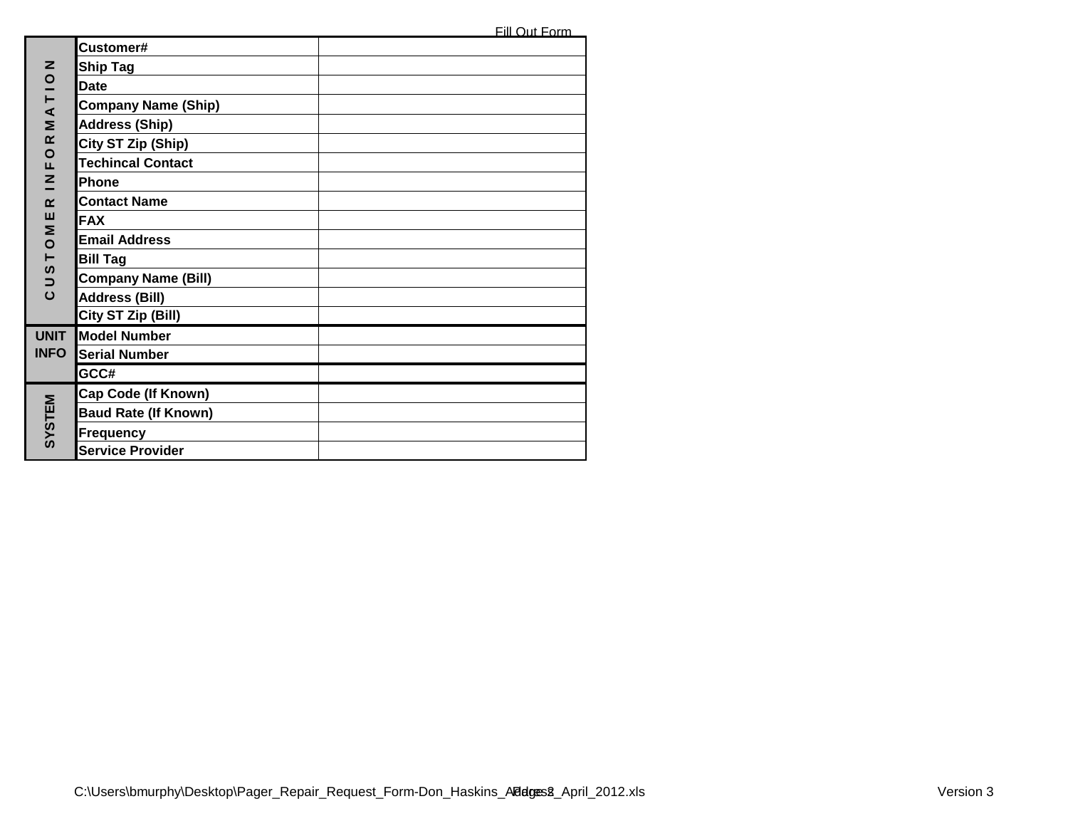|                    | Customer#                   |  |
|--------------------|-----------------------------|--|
| z                  | <b>Ship Tag</b>             |  |
|                    | <b>Date</b>                 |  |
| MATIO              | <b>Company Name (Ship)</b>  |  |
|                    | <b>Address (Ship)</b>       |  |
| $\alpha$           | City ST Zip (Ship)          |  |
| $\circ$<br>Щ       | <b>Techincal Contact</b>    |  |
| z<br>╾             | Phone                       |  |
| $\alpha$           | <b>Contact Name</b>         |  |
| ш                  | <b>FAX</b>                  |  |
| Σ<br>$\circ$       | <b>Email Address</b>        |  |
| $\vdash$           | <b>Bill Tag</b>             |  |
| S<br>$\Rightarrow$ | <b>Company Name (Bill)</b>  |  |
| $\mathbf C$        | <b>Address (Bill)</b>       |  |
|                    | City ST Zip (Bill)          |  |
| <b>UNIT</b>        | <b>Model Number</b>         |  |
| <b>INFO</b>        | <b>Serial Number</b>        |  |
|                    | GCC#                        |  |
|                    | Cap Code (If Known)         |  |
| SYSTEM             | <b>Baud Rate (If Known)</b> |  |
|                    | <b>Frequency</b>            |  |
|                    | <b>Service Provider</b>     |  |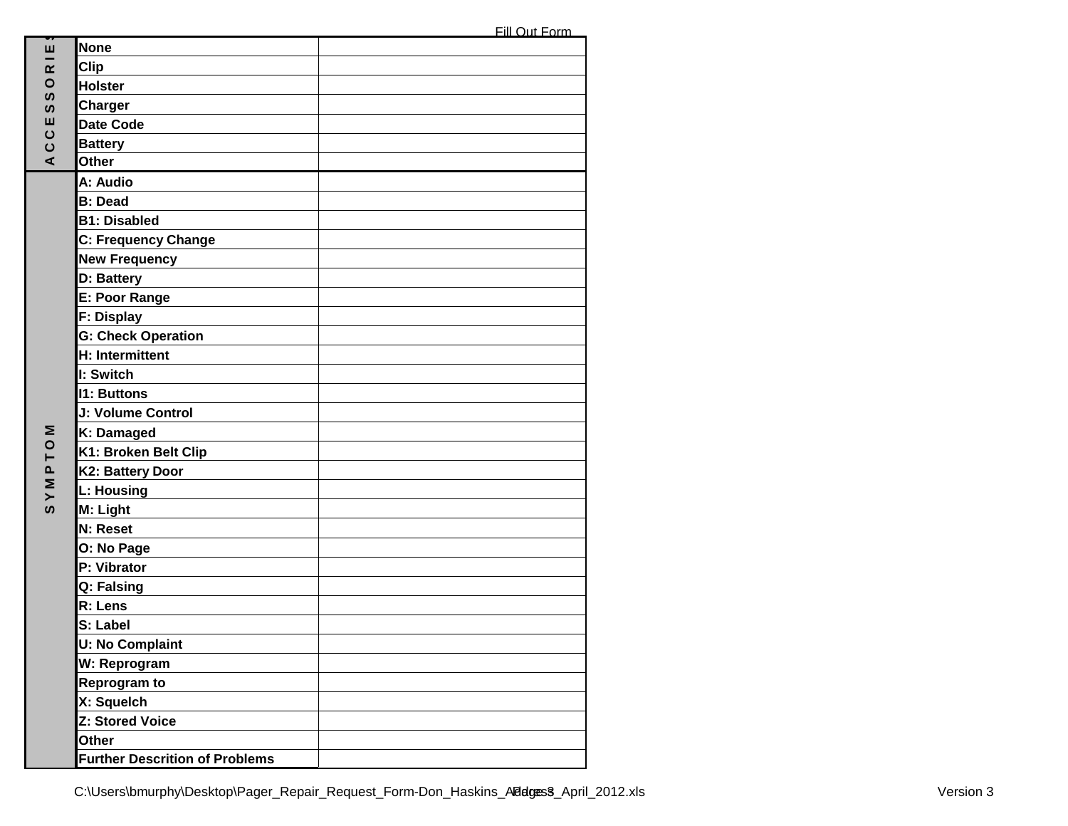| v.                  |                                       |  |
|---------------------|---------------------------------------|--|
| ш                   | <b>None</b>                           |  |
| $\alpha$            | <b>Clip</b>                           |  |
| $\circ$<br>ທ        | <b>Holster</b>                        |  |
| ທ                   | <b>Charger</b>                        |  |
| ш                   | <b>Date Code</b>                      |  |
| CC                  | <b>Battery</b>                        |  |
| ⋖                   | <b>Other</b>                          |  |
|                     | A: Audio                              |  |
|                     | <b>B</b> : Dead                       |  |
|                     | <b>B1: Disabled</b>                   |  |
|                     | <b>C: Frequency Change</b>            |  |
|                     | <b>New Frequency</b>                  |  |
|                     | D: Battery                            |  |
|                     | E: Poor Range                         |  |
|                     | <b>F: Display</b>                     |  |
|                     | <b>G: Check Operation</b>             |  |
|                     | H: Intermittent                       |  |
|                     | I: Switch                             |  |
|                     | <b>11: Buttons</b>                    |  |
|                     | J: Volume Control                     |  |
| Σ                   | K: Damaged                            |  |
| $\circ$<br>$\vdash$ | K1: Broken Belt Clip                  |  |
| $\mathbf{a}$        | K2: Battery Door                      |  |
| $\geq$              | <b>L: Housing</b>                     |  |
| ທ                   | M: Light                              |  |
|                     | <b>N: Reset</b>                       |  |
|                     | O: No Page                            |  |
|                     | P: Vibrator                           |  |
|                     | Q: Falsing                            |  |
|                     | R: Lens                               |  |
|                     | S: Label                              |  |
|                     | <b>U: No Complaint</b>                |  |
|                     | W: Reprogram                          |  |
|                     | Reprogram to                          |  |
|                     | X: Squelch                            |  |
|                     | Z: Stored Voice                       |  |
|                     | Other                                 |  |
|                     | <b>Further Descrition of Problems</b> |  |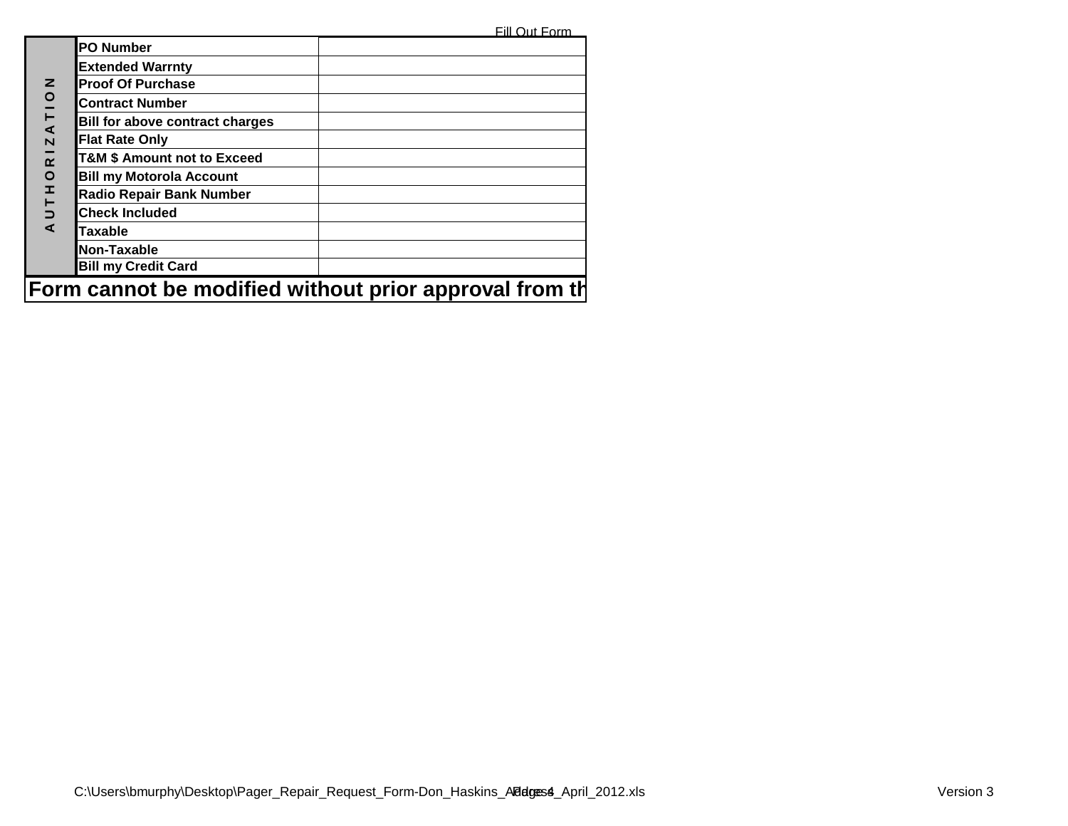Fill Out Form

|                                                        | <b>PO Number</b>                       |  |  |
|--------------------------------------------------------|----------------------------------------|--|--|
|                                                        | <b>Extended Warrnty</b>                |  |  |
| z                                                      | <b>Proof Of Purchase</b>               |  |  |
| ATIO                                                   | <b>Contract Number</b>                 |  |  |
|                                                        | <b>Bill for above contract charges</b> |  |  |
| $\overline{\mathsf{N}}$                                | <b>Flat Rate Only</b>                  |  |  |
| $\overline{\mathbf{r}}$                                | <b>T&amp;M \$ Amount not to Exceed</b> |  |  |
| $\circ$                                                | <b>Bill my Motorola Account</b>        |  |  |
| Ŧ,                                                     | Radio Repair Bank Number               |  |  |
| $\overline{C}$                                         | <b>Check Included</b>                  |  |  |
| ⋖                                                      | <b>Taxable</b>                         |  |  |
|                                                        | Non-Taxable                            |  |  |
|                                                        | <b>Bill my Credit Card</b>             |  |  |
| Form cannot be modified without prior approval from th |                                        |  |  |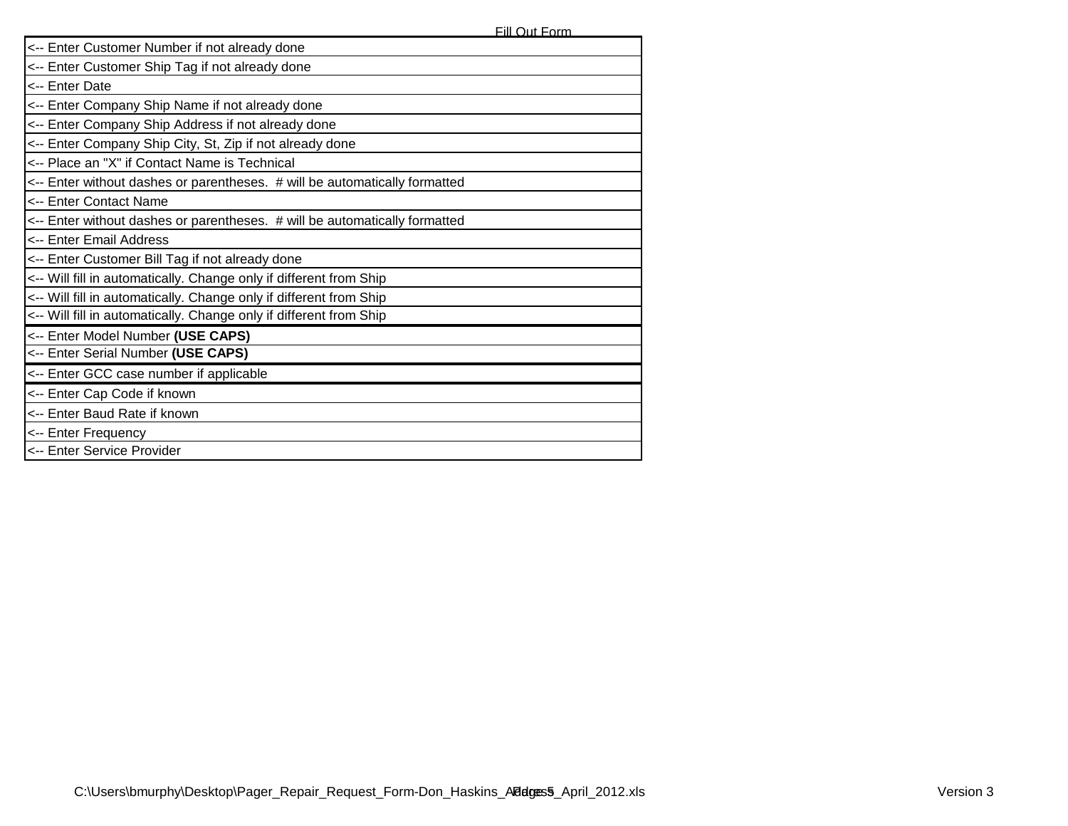| <-- Enter Customer Number if not already done                              |  |  |  |
|----------------------------------------------------------------------------|--|--|--|
| <-- Enter Customer Ship Tag if not already done                            |  |  |  |
| <-- Enter Date                                                             |  |  |  |
| <-- Enter Company Ship Name if not already done                            |  |  |  |
| <-- Enter Company Ship Address if not already done                         |  |  |  |
| <-- Enter Company Ship City, St, Zip if not already done                   |  |  |  |
| <-- Place an "X" if Contact Name is Technical                              |  |  |  |
| <-- Enter without dashes or parentheses. # will be automatically formatted |  |  |  |
| <-- Enter Contact Name                                                     |  |  |  |
| <-- Enter without dashes or parentheses. # will be automatically formatted |  |  |  |
| <-- Enter Email Address                                                    |  |  |  |
| <-- Enter Customer Bill Tag if not already done                            |  |  |  |
| <-- Will fill in automatically. Change only if different from Ship         |  |  |  |
| <-- Will fill in automatically. Change only if different from Ship         |  |  |  |
| <-- Will fill in automatically. Change only if different from Ship         |  |  |  |
| <-- Enter Model Number (USE CAPS)                                          |  |  |  |
| <-- Enter Serial Number (USE CAPS)                                         |  |  |  |
| <-- Enter GCC case number if applicable                                    |  |  |  |
| <-- Enter Cap Code if known                                                |  |  |  |
| <-- Enter Baud Rate if known                                               |  |  |  |
| <-- Enter Frequency                                                        |  |  |  |
| <-- Enter Service Provider                                                 |  |  |  |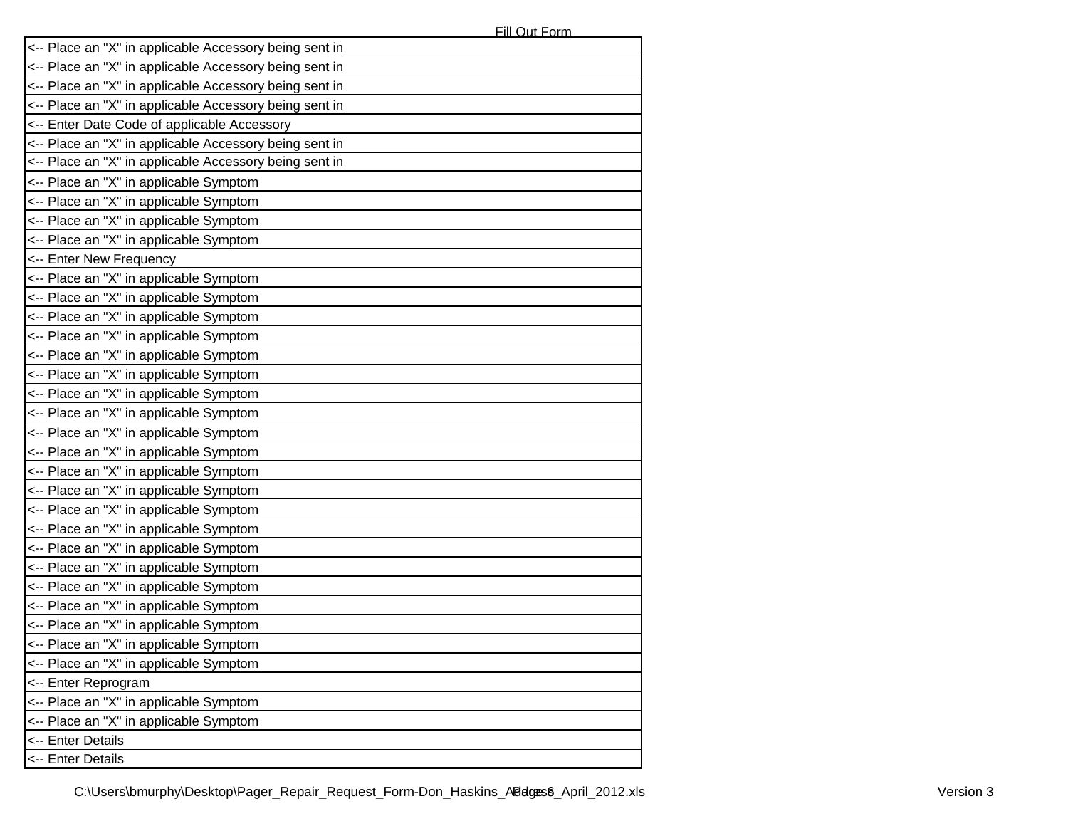| <-- Place an "X" in applicable Accessory being sent in |
|--------------------------------------------------------|
| <-- Place an "X" in applicable Accessory being sent in |
| <-- Place an "X" in applicable Accessory being sent in |
| <-- Place an "X" in applicable Accessory being sent in |
| <-- Enter Date Code of applicable Accessory            |
| <-- Place an "X" in applicable Accessory being sent in |
| <-- Place an "X" in applicable Accessory being sent in |
| <-- Place an "X" in applicable Symptom                 |
| <-- Place an "X" in applicable Symptom                 |
| <-- Place an "X" in applicable Symptom                 |
| <-- Place an "X" in applicable Symptom                 |
| <-- Enter New Frequency                                |
| <-- Place an "X" in applicable Symptom                 |
| <-- Place an "X" in applicable Symptom                 |
| <-- Place an "X" in applicable Symptom                 |
| <-- Place an "X" in applicable Symptom                 |
| <-- Place an "X" in applicable Symptom                 |
| <-- Place an "X" in applicable Symptom                 |
| <-- Place an "X" in applicable Symptom                 |
| <-- Place an "X" in applicable Symptom                 |
| <-- Place an "X" in applicable Symptom                 |
| <-- Place an "X" in applicable Symptom                 |
| <-- Place an "X" in applicable Symptom                 |
| <-- Place an "X" in applicable Symptom                 |
| <-- Place an "X" in applicable Symptom                 |
| <-- Place an "X" in applicable Symptom                 |
| <-- Place an "X" in applicable Symptom                 |
| <-- Place an "X" in applicable Symptom                 |
| <-- Place an "X" in applicable Symptom                 |
| <-- Place an "X" in applicable Symptom                 |
| <-- Place an "X" in applicable Symptom                 |
| Place an "X" in applicable Symptom                     |
| <-- Place an "X" in applicable Symptom                 |
| <-- Enter Reprogram                                    |
| <-- Place an "X" in applicable Symptom                 |
| <-- Place an "X" in applicable Symptom                 |
| <-- Enter Details                                      |
| <-- Enter Details                                      |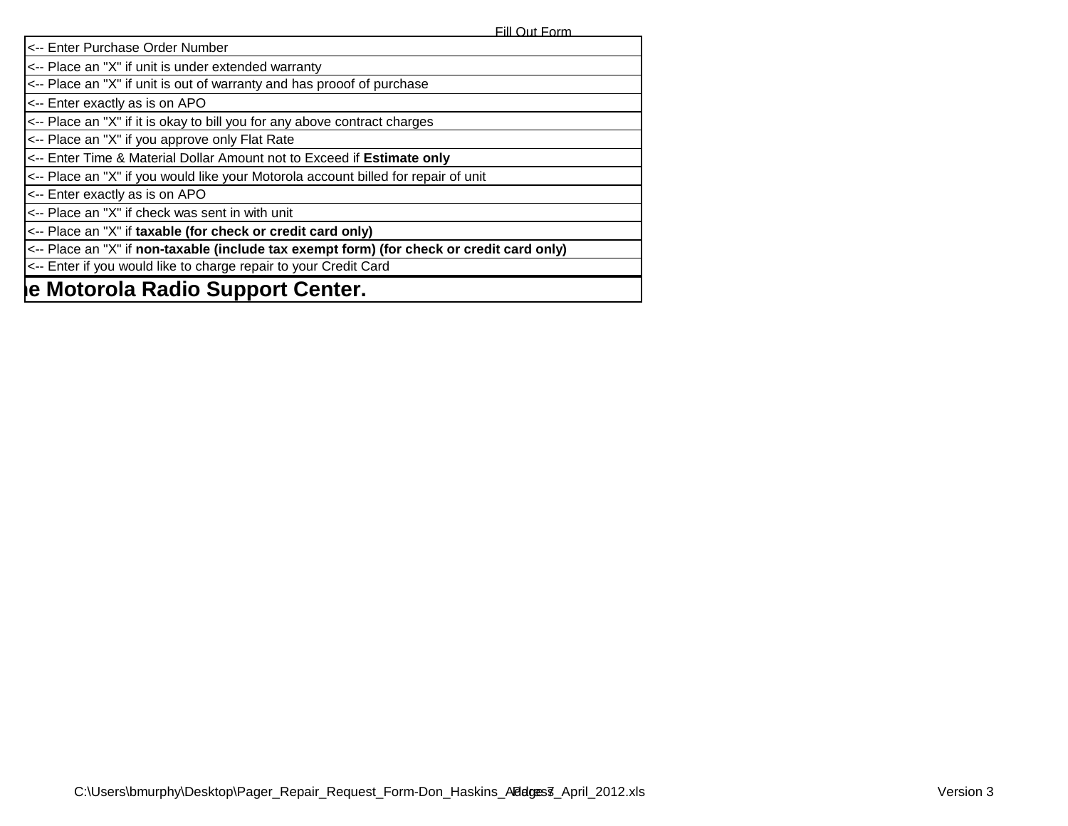Fill Out Form

| <-- Enter Purchase Order Number                                                           |
|-------------------------------------------------------------------------------------------|
| <-- Place an "X" if unit is under extended warranty                                       |
| <-- Place an "X" if unit is out of warranty and has prooof of purchase                    |
| <-- Enter exactly as is on APO                                                            |
| <-- Place an "X" if it is okay to bill you for any above contract charges                 |
| <-- Place an "X" if you approve only Flat Rate                                            |
| <-- Enter Time & Material Dollar Amount not to Exceed if Estimate only                    |
| <-- Place an "X" if you would like your Motorola account billed for repair of unit        |
| <-- Enter exactly as is on APO                                                            |
| <-- Place an "X" if check was sent in with unit                                           |
| <-- Place an "X" if taxable (for check or credit card only)                               |
| <-- Place an "X" if non-taxable (include tax exempt form) (for check or credit card only) |
| <-- Enter if you would like to charge repair to your Credit Card                          |
| le Motorola Radio Support Center.                                                         |